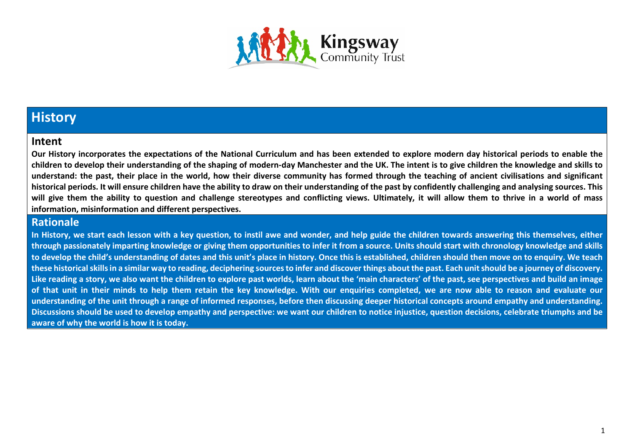

### **History**

#### **Intent**

**Our History incorporates the expectations of the National Curriculum and has been extended to explore modern day historical periods to enable the children to develop their understanding of the shaping of modern-day Manchester and the UK. The intent is to give children the knowledge and skills to understand: the past, their place in the world, how their diverse community has formed through the teaching of ancient civilisations and significant historical periods. It will ensure children have the ability to draw on their understanding of the past by confidently challenging and analysing sources. This will give them the ability to question and challenge stereotypes and conflicting views. Ultimately, it will allow them to thrive in a world of mass information, misinformation and different perspectives.**

#### **Rationale**

**In History, we start each lesson with a key question, to instil awe and wonder, and help guide the children towards answering this themselves, either through passionately imparting knowledge or giving them opportunities to infer it from a source. Units should start with chronology knowledge and skills to develop the child's understanding of dates and this unit's place in history. Once this is established, children should then move on to enquiry. We teach these historical skills in a similar way to reading, deciphering sources to infer and discover things about the past. Each unit should be a journey of discovery. Like reading a story, we also want the children to explore past worlds, learn about the 'main characters' of the past, see perspectives and build an image of that unit in their minds to help them retain the key knowledge. With our enquiries completed, we are now able to reason and evaluate our understanding of the unit through a range of informed responses, before then discussing deeper historical concepts around empathy and understanding. Discussions should be used to develop empathy and perspective: we want our children to notice injustice, question decisions, celebrate triumphs and be aware of why the world is how it is today.**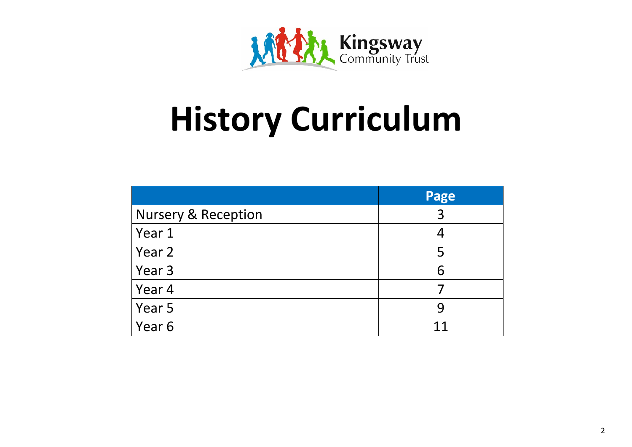

## **History Curriculum**

|                                | Page |
|--------------------------------|------|
| <b>Nursery &amp; Reception</b> | 3    |
| Year 1                         |      |
| Year 2                         | 5    |
| Year 3                         | 6    |
| Year 4                         |      |
| Year 5                         | 9    |
| Year 6                         | 11   |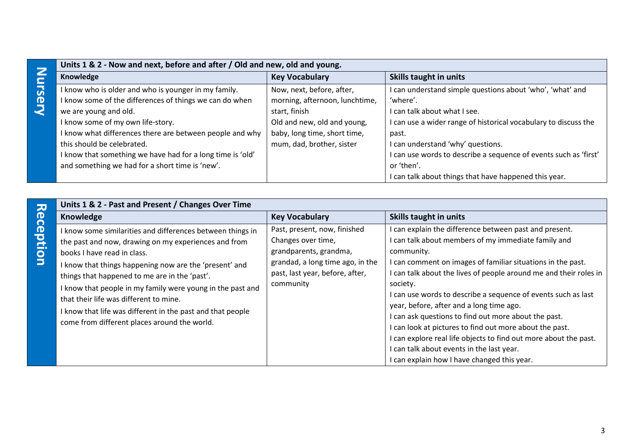|              | Units 1 & 2 - Now and next, before and after / Old and new, old and young. |                                |                                                                |
|--------------|----------------------------------------------------------------------------|--------------------------------|----------------------------------------------------------------|
| Z<br>∼.      | Knowledge                                                                  | <b>Key Vocabulary</b>          | Skills taught in units                                         |
| <b>rsery</b> | know who is older and who is younger in my family.                         | Now, next, before, after,      | can understand simple questions about 'who', 'what' and        |
|              | know some of the differences of things we can do when                      | morning, afternoon, lunchtime, | 'where'.                                                       |
|              | we are young and old.                                                      | start, finish                  | can talk about what I see.                                     |
|              | I know some of my own life-story.                                          | Old and new, old and young,    | can use a wider range of historical vocabulary to discuss the  |
|              | know what differences there are between people and why                     | baby, long time, short time,   | past.                                                          |
|              | this should be celebrated.                                                 | mum, dad, brother, sister      | can understand 'why' questions.                                |
|              | know that something we have had for a long time is 'old'                   |                                | can use words to describe a sequence of events such as 'first' |
|              | and something we had for a short time is 'new'.                            |                                | or 'then'.                                                     |
|              |                                                                            |                                | can talk about things that have happened this year.            |

| Units 1 & 2 - Past and Present / Changes Over Time<br>$\overline{\bm{v}}$ |                                                                                                                                                                                                                                                                                                                                                                                                                                                                                    |                                                                                                                                                                  |                                                                                                                                                                                                                                                                                                                                                                                                                                                                                                                                                                                                                                                                             |
|---------------------------------------------------------------------------|------------------------------------------------------------------------------------------------------------------------------------------------------------------------------------------------------------------------------------------------------------------------------------------------------------------------------------------------------------------------------------------------------------------------------------------------------------------------------------|------------------------------------------------------------------------------------------------------------------------------------------------------------------|-----------------------------------------------------------------------------------------------------------------------------------------------------------------------------------------------------------------------------------------------------------------------------------------------------------------------------------------------------------------------------------------------------------------------------------------------------------------------------------------------------------------------------------------------------------------------------------------------------------------------------------------------------------------------------|
|                                                                           | Knowledge                                                                                                                                                                                                                                                                                                                                                                                                                                                                          | <b>Key Vocabulary</b>                                                                                                                                            | <b>Skills taught in units</b>                                                                                                                                                                                                                                                                                                                                                                                                                                                                                                                                                                                                                                               |
| eception                                                                  | I know some similarities and differences between things in<br>the past and now, drawing on my experiences and from<br>books I have read in class.<br>I know that things happening now are the 'present' and<br>things that happened to me are in the 'past'.<br>I know that people in my family were young in the past and<br>that their life was different to mine.<br>I know that life was different in the past and that people<br>come from different places around the world. | Past, present, now, finished<br>Changes over time,<br>grandparents, grandma,<br>grandad, a long time ago, in the<br>past, last year, before, after,<br>community | I can explain the difference between past and present.<br>I can talk about members of my immediate family and<br>community.<br>I can comment on images of familiar situations in the past.<br>I can talk about the lives of people around me and their roles in<br>society.<br>I can use words to describe a sequence of events such as last<br>year, before, after and a long time ago.<br>I can ask questions to find out more about the past.<br>I can look at pictures to find out more about the past.<br>I can explore real life objects to find out more about the past.<br>I can talk about events in the last year.<br>I can explain how I have changed this year. |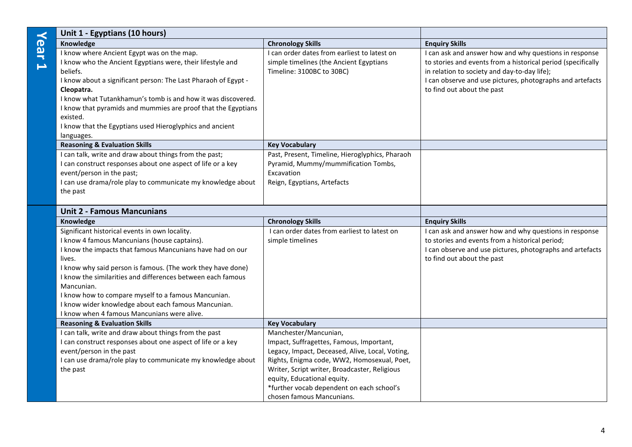|                         | Unit 1 - Egyptians (10 hours)                                                                                                                                                                                                                                                                                                                                                                                                                                                  |                                                                                                                                                                                                                                                                                                                               |                                                                                                                                                                                                                                                                   |
|-------------------------|--------------------------------------------------------------------------------------------------------------------------------------------------------------------------------------------------------------------------------------------------------------------------------------------------------------------------------------------------------------------------------------------------------------------------------------------------------------------------------|-------------------------------------------------------------------------------------------------------------------------------------------------------------------------------------------------------------------------------------------------------------------------------------------------------------------------------|-------------------------------------------------------------------------------------------------------------------------------------------------------------------------------------------------------------------------------------------------------------------|
| $\overline{\mathbf{b}}$ | Knowledge                                                                                                                                                                                                                                                                                                                                                                                                                                                                      | <b>Chronology Skills</b>                                                                                                                                                                                                                                                                                                      | <b>Enquiry Skills</b>                                                                                                                                                                                                                                             |
| Ē                       | I know where Ancient Egypt was on the map.<br>I know who the Ancient Egyptians were, their lifestyle and<br>beliefs.<br>I know about a significant person: The Last Pharaoh of Egypt -<br>Cleopatra.<br>I know what Tutankhamun's tomb is and how it was discovered.<br>I know that pyramids and mummies are proof that the Egyptians<br>existed.<br>I know that the Egyptians used Hieroglyphics and ancient<br>languages.                                                    | I can order dates from earliest to latest on<br>simple timelines (the Ancient Egyptians<br>Timeline: 3100BC to 30BC)                                                                                                                                                                                                          | I can ask and answer how and why questions in response<br>to stories and events from a historical period (specifically<br>in relation to society and day-to-day life);<br>I can observe and use pictures, photographs and artefacts<br>to find out about the past |
|                         | <b>Reasoning &amp; Evaluation Skills</b>                                                                                                                                                                                                                                                                                                                                                                                                                                       | <b>Key Vocabulary</b>                                                                                                                                                                                                                                                                                                         |                                                                                                                                                                                                                                                                   |
|                         | I can talk, write and draw about things from the past;<br>I can construct responses about one aspect of life or a key<br>event/person in the past;<br>I can use drama/role play to communicate my knowledge about<br>the past                                                                                                                                                                                                                                                  | Past, Present, Timeline, Hieroglyphics, Pharaoh<br>Pyramid, Mummy/mummification Tombs,<br>Excavation<br>Reign, Egyptians, Artefacts                                                                                                                                                                                           |                                                                                                                                                                                                                                                                   |
|                         | <b>Unit 2 - Famous Mancunians</b>                                                                                                                                                                                                                                                                                                                                                                                                                                              |                                                                                                                                                                                                                                                                                                                               |                                                                                                                                                                                                                                                                   |
|                         | Knowledge                                                                                                                                                                                                                                                                                                                                                                                                                                                                      | <b>Chronology Skills</b>                                                                                                                                                                                                                                                                                                      | <b>Enquiry Skills</b>                                                                                                                                                                                                                                             |
|                         | Significant historical events in own locality.<br>I know 4 famous Mancunians (house captains).<br>I know the impacts that famous Mancunians have had on our<br>lives.<br>I know why said person is famous. (The work they have done)<br>I know the similarities and differences between each famous<br>Mancunian.<br>I know how to compare myself to a famous Mancunian.<br>I know wider knowledge about each famous Mancunian.<br>I know when 4 famous Mancunians were alive. | I can order dates from earliest to latest on<br>simple timelines                                                                                                                                                                                                                                                              | I can ask and answer how and why questions in response<br>to stories and events from a historical period;<br>I can observe and use pictures, photographs and artefacts<br>to find out about the past                                                              |
|                         | <b>Reasoning &amp; Evaluation Skills</b>                                                                                                                                                                                                                                                                                                                                                                                                                                       | <b>Key Vocabulary</b>                                                                                                                                                                                                                                                                                                         |                                                                                                                                                                                                                                                                   |
|                         | I can talk, write and draw about things from the past<br>I can construct responses about one aspect of life or a key<br>event/person in the past<br>I can use drama/role play to communicate my knowledge about<br>the past                                                                                                                                                                                                                                                    | Manchester/Mancunian,<br>Impact, Suffragettes, Famous, Important,<br>Legacy, Impact, Deceased, Alive, Local, Voting,<br>Rights, Enigma code, WW2, Homosexual, Poet,<br>Writer, Script writer, Broadcaster, Religious<br>equity, Educational equity.<br>*further vocab dependent on each school's<br>chosen famous Mancunians. |                                                                                                                                                                                                                                                                   |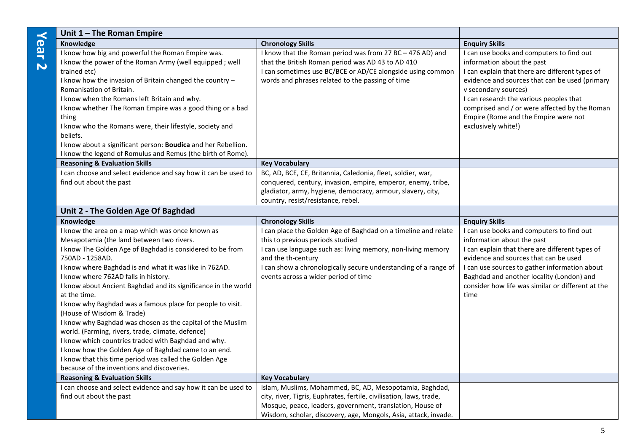| Unit $1$ – The Roman Empire                                                                                                                                                                                                                                                                                                                                                                                                                                                                                                                                                                                                                                                                                                                                                                            |                                                                                                                                                                                                                                                                                                     |                                                                                                                                                                                                                                                                                                                                                                 |
|--------------------------------------------------------------------------------------------------------------------------------------------------------------------------------------------------------------------------------------------------------------------------------------------------------------------------------------------------------------------------------------------------------------------------------------------------------------------------------------------------------------------------------------------------------------------------------------------------------------------------------------------------------------------------------------------------------------------------------------------------------------------------------------------------------|-----------------------------------------------------------------------------------------------------------------------------------------------------------------------------------------------------------------------------------------------------------------------------------------------------|-----------------------------------------------------------------------------------------------------------------------------------------------------------------------------------------------------------------------------------------------------------------------------------------------------------------------------------------------------------------|
| Knowledge                                                                                                                                                                                                                                                                                                                                                                                                                                                                                                                                                                                                                                                                                                                                                                                              | <b>Chronology Skills</b>                                                                                                                                                                                                                                                                            | <b>Enquiry Skills</b>                                                                                                                                                                                                                                                                                                                                           |
| I know how big and powerful the Roman Empire was.<br>I know the power of the Roman Army (well equipped; well<br>trained etc)<br>I know how the invasion of Britain changed the country -<br>Romanisation of Britain.<br>I know when the Romans left Britain and why.<br>I know whether The Roman Empire was a good thing or a bad<br>thing<br>I know who the Romans were, their lifestyle, society and<br>beliefs.<br>I know about a significant person: Boudica and her Rebellion.                                                                                                                                                                                                                                                                                                                    | I know that the Roman period was from 27 BC - 476 AD) and<br>that the British Roman period was AD 43 to AD 410<br>I can sometimes use BC/BCE or AD/CE alongside using common<br>words and phrases related to the passing of time                                                                    | I can use books and computers to find out<br>information about the past<br>I can explain that there are different types of<br>evidence and sources that can be used (primary<br>v secondary sources)<br>I can research the various peoples that<br>comprised and / or were affected by the Roman<br>Empire (Rome and the Empire were not<br>exclusively white!) |
| I know the legend of Romulus and Remus (the birth of Rome).                                                                                                                                                                                                                                                                                                                                                                                                                                                                                                                                                                                                                                                                                                                                            |                                                                                                                                                                                                                                                                                                     |                                                                                                                                                                                                                                                                                                                                                                 |
| <b>Reasoning &amp; Evaluation Skills</b>                                                                                                                                                                                                                                                                                                                                                                                                                                                                                                                                                                                                                                                                                                                                                               | <b>Key Vocabulary</b>                                                                                                                                                                                                                                                                               |                                                                                                                                                                                                                                                                                                                                                                 |
| I can choose and select evidence and say how it can be used to<br>find out about the past                                                                                                                                                                                                                                                                                                                                                                                                                                                                                                                                                                                                                                                                                                              | BC, AD, BCE, CE, Britannia, Caledonia, fleet, soldier, war,<br>conquered, century, invasion, empire, emperor, enemy, tribe,<br>gladiator, army, hygiene, democracy, armour, slavery, city,<br>country, resist/resistance, rebel.                                                                    |                                                                                                                                                                                                                                                                                                                                                                 |
| Unit 2 - The Golden Age Of Baghdad                                                                                                                                                                                                                                                                                                                                                                                                                                                                                                                                                                                                                                                                                                                                                                     |                                                                                                                                                                                                                                                                                                     |                                                                                                                                                                                                                                                                                                                                                                 |
| Knowledge                                                                                                                                                                                                                                                                                                                                                                                                                                                                                                                                                                                                                                                                                                                                                                                              | <b>Chronology Skills</b>                                                                                                                                                                                                                                                                            | <b>Enquiry Skills</b>                                                                                                                                                                                                                                                                                                                                           |
| I know the area on a map which was once known as<br>Mesapotamia (the land between two rivers.<br>I know The Golden Age of Baghdad is considered to be from<br>750AD - 1258AD.<br>I know where Baghdad is and what it was like in 762AD.<br>I know where 762AD falls in history.<br>I know about Ancient Baghdad and its significance in the world<br>at the time.<br>I know why Baghdad was a famous place for people to visit.<br>(House of Wisdom & Trade)<br>I know why Baghdad was chosen as the capital of the Muslim<br>world. (Farming, rivers, trade, climate, defence)<br>I know which countries traded with Baghdad and why.<br>I know how the Golden Age of Baghdad came to an end.<br>I know that this time period was called the Golden Age<br>because of the inventions and discoveries. | I can place the Golden Age of Baghdad on a timeline and relate<br>this to previous periods studied<br>I can use language such as: living memory, non-living memory<br>and the th-century<br>I can show a chronologically secure understanding of a range of<br>events across a wider period of time | I can use books and computers to find out<br>information about the past<br>I can explain that there are different types of<br>evidence and sources that can be used<br>I can use sources to gather information about<br>Baghdad and another locality (London) and<br>consider how life was similar or different at the<br>time                                  |
| <b>Reasoning &amp; Evaluation Skills</b>                                                                                                                                                                                                                                                                                                                                                                                                                                                                                                                                                                                                                                                                                                                                                               | <b>Key Vocabulary</b>                                                                                                                                                                                                                                                                               |                                                                                                                                                                                                                                                                                                                                                                 |
| I can choose and select evidence and say how it can be used to<br>find out about the past                                                                                                                                                                                                                                                                                                                                                                                                                                                                                                                                                                                                                                                                                                              | Islam, Muslims, Mohammed, BC, AD, Mesopotamia, Baghdad,<br>city, river, Tigris, Euphrates, fertile, civilisation, laws, trade,<br>Mosque, peace, leaders, government, translation, House of<br>Wisdom, scholar, discovery, age, Mongols, Asia, attack, invade.                                      |                                                                                                                                                                                                                                                                                                                                                                 |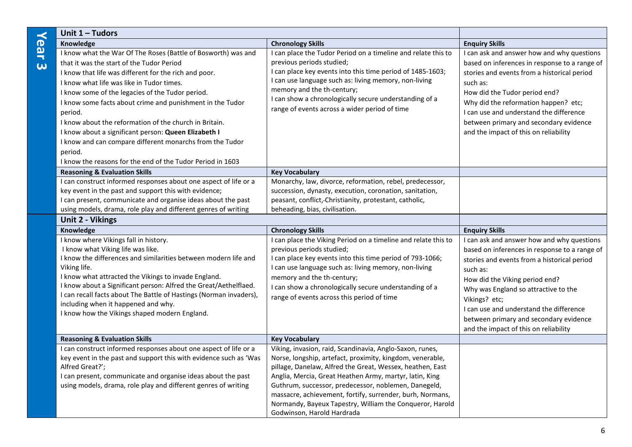| Unit 1 - Tudors                                                                                                                                                                                                                                                                                                                                                                                                                                                                                                                                                                                     |                                                                                                                                                                                                                                                                                                                                                                                                                                                              |                                                                                                                                                                                                                                                                                                                                                                                 |
|-----------------------------------------------------------------------------------------------------------------------------------------------------------------------------------------------------------------------------------------------------------------------------------------------------------------------------------------------------------------------------------------------------------------------------------------------------------------------------------------------------------------------------------------------------------------------------------------------------|--------------------------------------------------------------------------------------------------------------------------------------------------------------------------------------------------------------------------------------------------------------------------------------------------------------------------------------------------------------------------------------------------------------------------------------------------------------|---------------------------------------------------------------------------------------------------------------------------------------------------------------------------------------------------------------------------------------------------------------------------------------------------------------------------------------------------------------------------------|
| Knowledge                                                                                                                                                                                                                                                                                                                                                                                                                                                                                                                                                                                           | <b>Chronology Skills</b>                                                                                                                                                                                                                                                                                                                                                                                                                                     | <b>Enquiry Skills</b>                                                                                                                                                                                                                                                                                                                                                           |
| I know what the War Of The Roses (Battle of Bosworth) was and<br>that it was the start of the Tudor Period<br>I know that life was different for the rich and poor.<br>I know what life was like in Tudor times.<br>I know some of the legacies of the Tudor period.<br>I know some facts about crime and punishment in the Tudor<br>period.<br>I know about the reformation of the church in Britain.<br>I know about a significant person: Queen Elizabeth I<br>I know and can compare different monarchs from the Tudor<br>period.<br>I know the reasons for the end of the Tudor Period in 1603 | I can place the Tudor Period on a timeline and relate this to<br>previous periods studied;<br>I can place key events into this time period of 1485-1603;<br>I can use language such as: living memory, non-living<br>memory and the th-century;<br>I can show a chronologically secure understanding of a<br>range of events across a wider period of time                                                                                                   | I can ask and answer how and why questions<br>based on inferences in response to a range of<br>stories and events from a historical period<br>such as:<br>How did the Tudor period end?<br>Why did the reformation happen? etc;<br>I can use and understand the difference<br>between primary and secondary evidence<br>and the impact of this on reliability                   |
| <b>Reasoning &amp; Evaluation Skills</b>                                                                                                                                                                                                                                                                                                                                                                                                                                                                                                                                                            | <b>Key Vocabulary</b>                                                                                                                                                                                                                                                                                                                                                                                                                                        |                                                                                                                                                                                                                                                                                                                                                                                 |
| I can construct informed responses about one aspect of life or a<br>key event in the past and support this with evidence;<br>I can present, communicate and organise ideas about the past<br>using models, drama, role play and different genres of writing                                                                                                                                                                                                                                                                                                                                         | Monarchy, law, divorce, reformation, rebel, predecessor,<br>succession, dynasty, execution, coronation, sanitation,<br>peasant, conflict,-Christianity, protestant, catholic,<br>beheading, bias, civilisation.                                                                                                                                                                                                                                              |                                                                                                                                                                                                                                                                                                                                                                                 |
| <b>Unit 2 - Vikings</b>                                                                                                                                                                                                                                                                                                                                                                                                                                                                                                                                                                             |                                                                                                                                                                                                                                                                                                                                                                                                                                                              |                                                                                                                                                                                                                                                                                                                                                                                 |
| Knowledge                                                                                                                                                                                                                                                                                                                                                                                                                                                                                                                                                                                           | <b>Chronology Skills</b>                                                                                                                                                                                                                                                                                                                                                                                                                                     | <b>Enquiry Skills</b>                                                                                                                                                                                                                                                                                                                                                           |
| I know where Vikings fall in history.<br>I know what Viking life was like.<br>I know the differences and similarities between modern life and<br>Viking life.<br>I know what attracted the Vikings to invade England.<br>I know about a Significant person: Alfred the Great/Aethelflaed.<br>I can recall facts about The Battle of Hastings (Norman invaders),<br>including when it happened and why.<br>I know how the Vikings shaped modern England.                                                                                                                                             | I can place the Viking Period on a timeline and relate this to<br>previous periods studied;<br>I can place key events into this time period of 793-1066;<br>I can use language such as: living memory, non-living<br>memory and the th-century;<br>I can show a chronologically secure understanding of a<br>range of events across this period of time                                                                                                      | I can ask and answer how and why questions<br>based on inferences in response to a range of<br>stories and events from a historical period<br>such as:<br>How did the Viking period end?<br>Why was England so attractive to the<br>Vikings? etc;<br>I can use and understand the difference<br>between primary and secondary evidence<br>and the impact of this on reliability |
| <b>Reasoning &amp; Evaluation Skills</b>                                                                                                                                                                                                                                                                                                                                                                                                                                                                                                                                                            | <b>Key Vocabulary</b>                                                                                                                                                                                                                                                                                                                                                                                                                                        |                                                                                                                                                                                                                                                                                                                                                                                 |
| I can construct informed responses about one aspect of life or a<br>key event in the past and support this with evidence such as 'Was<br>Alfred Great?';<br>I can present, communicate and organise ideas about the past<br>using models, drama, role play and different genres of writing                                                                                                                                                                                                                                                                                                          | Viking, invasion, raid, Scandinavia, Anglo-Saxon, runes,<br>Norse, longship, artefact, proximity, kingdom, venerable,<br>pillage, Danelaw, Alfred the Great, Wessex, heathen, East<br>Anglia, Mercia, Great Heathen Army, martyr, latin, King<br>Guthrum, successor, predecessor, noblemen, Danegeld,<br>massacre, achievement, fortify, surrender, burh, Normans,<br>Normandy, Bayeux Tapestry, William the Conqueror, Harold<br>Godwinson, Harold Hardrada |                                                                                                                                                                                                                                                                                                                                                                                 |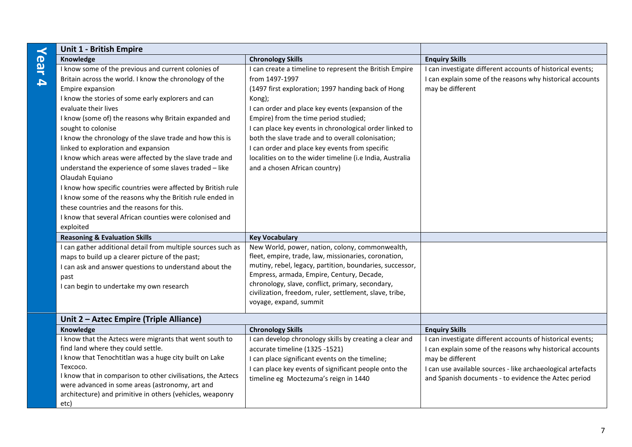|                  | <b>Unit 1 - British Empire</b>                                                                               |                                                                                   |                                                             |
|------------------|--------------------------------------------------------------------------------------------------------------|-----------------------------------------------------------------------------------|-------------------------------------------------------------|
|                  | Knowledge                                                                                                    | <b>Chronology Skills</b>                                                          | <b>Enquiry Skills</b>                                       |
| Year             | I know some of the previous and current colonies of                                                          | I can create a timeline to represent the British Empire                           | I can investigate different accounts of historical events;  |
| $\blacktriangle$ | Britain across the world. I know the chronology of the                                                       | from 1497-1997                                                                    | I can explain some of the reasons why historical accounts   |
|                  | Empire expansion                                                                                             | (1497 first exploration; 1997 handing back of Hong                                | may be different                                            |
|                  | I know the stories of some early explorers and can                                                           | Kong);                                                                            |                                                             |
|                  | evaluate their lives                                                                                         | I can order and place key events (expansion of the                                |                                                             |
|                  | I know (some of) the reasons why Britain expanded and                                                        | Empire) from the time period studied;                                             |                                                             |
|                  | sought to colonise                                                                                           | I can place key events in chronological order linked to                           |                                                             |
|                  | I know the chronology of the slave trade and how this is                                                     | both the slave trade and to overall colonisation;                                 |                                                             |
|                  | linked to exploration and expansion                                                                          | I can order and place key events from specific                                    |                                                             |
|                  | I know which areas were affected by the slave trade and                                                      | localities on to the wider timeline (i.e India, Australia                         |                                                             |
|                  | understand the experience of some slaves traded - like                                                       | and a chosen African country)                                                     |                                                             |
|                  | Olaudah Equiano                                                                                              |                                                                                   |                                                             |
|                  | I know how specific countries were affected by British rule                                                  |                                                                                   |                                                             |
|                  | I know some of the reasons why the British rule ended in                                                     |                                                                                   |                                                             |
|                  | these countries and the reasons for this.                                                                    |                                                                                   |                                                             |
|                  | I know that several African counties were colonised and                                                      |                                                                                   |                                                             |
|                  | exploited                                                                                                    |                                                                                   |                                                             |
|                  | <b>Reasoning &amp; Evaluation Skills</b>                                                                     | <b>Key Vocabulary</b>                                                             |                                                             |
|                  | I can gather additional detail from multiple sources such as                                                 | New World, power, nation, colony, commonwealth,                                   |                                                             |
|                  | maps to build up a clearer picture of the past;                                                              | fleet, empire, trade, law, missionaries, coronation,                              |                                                             |
|                  | I can ask and answer questions to understand about the                                                       | mutiny, rebel, legacy, partition, boundaries, successor,                          |                                                             |
|                  | past                                                                                                         | Empress, armada, Empire, Century, Decade,                                         |                                                             |
|                  | I can begin to undertake my own research                                                                     | chronology, slave, conflict, primary, secondary,                                  |                                                             |
|                  |                                                                                                              | civilization, freedom, ruler, settlement, slave, tribe,<br>voyage, expand, summit |                                                             |
|                  |                                                                                                              |                                                                                   |                                                             |
|                  | Unit 2 - Aztec Empire (Triple Alliance)                                                                      |                                                                                   |                                                             |
|                  | Knowledge                                                                                                    | <b>Chronology Skills</b>                                                          | <b>Enquiry Skills</b>                                       |
|                  | I know that the Aztecs were migrants that went south to                                                      | I can develop chronology skills by creating a clear and                           | I can investigate different accounts of historical events;  |
|                  | find land where they could settle.                                                                           | accurate timeline (1325 -1521)                                                    | I can explain some of the reasons why historical accounts   |
|                  | I know that Tenochtitlan was a huge city built on Lake                                                       | I can place significant events on the timeline;                                   | may be different                                            |
|                  | Texcoco.                                                                                                     | I can place key events of significant people onto the                             | I can use available sources - like archaeological artefacts |
|                  | I know that in comparison to other civilisations, the Aztecs                                                 | timeline eg Moctezuma's reign in 1440                                             | and Spanish documents - to evidence the Aztec period        |
|                  | were advanced in some areas (astronomy, art and<br>architecture) and primitive in others (vehicles, weaponry |                                                                                   |                                                             |
|                  |                                                                                                              |                                                                                   |                                                             |
|                  | etc)                                                                                                         |                                                                                   |                                                             |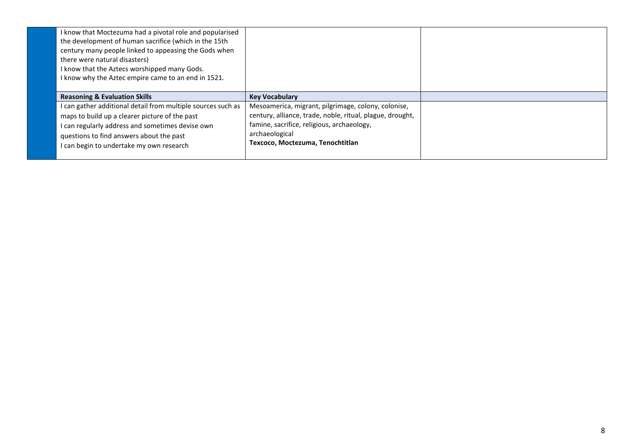| I know that Moctezuma had a pivotal role and popularised<br>the development of human sacrifice (which in the 15th<br>century many people linked to appeasing the Gods when<br>there were natural disasters)<br>I know that the Aztecs worshipped many Gods.<br>I know why the Aztec empire came to an end in 1521. |                                                                                                                                                                                                                      |  |
|--------------------------------------------------------------------------------------------------------------------------------------------------------------------------------------------------------------------------------------------------------------------------------------------------------------------|----------------------------------------------------------------------------------------------------------------------------------------------------------------------------------------------------------------------|--|
| <b>Reasoning &amp; Evaluation Skills</b>                                                                                                                                                                                                                                                                           | <b>Key Vocabulary</b>                                                                                                                                                                                                |  |
| I can gather additional detail from multiple sources such as<br>maps to build up a clearer picture of the past<br>I can regularly address and sometimes devise own<br>questions to find answers about the past<br>I can begin to undertake my own research                                                         | Mesoamerica, migrant, pilgrimage, colony, colonise,<br>century, alliance, trade, noble, ritual, plague, drought,<br>famine, sacrifice, religious, archaeology,<br>archaeological<br>Texcoco, Moctezuma, Tenochtitlan |  |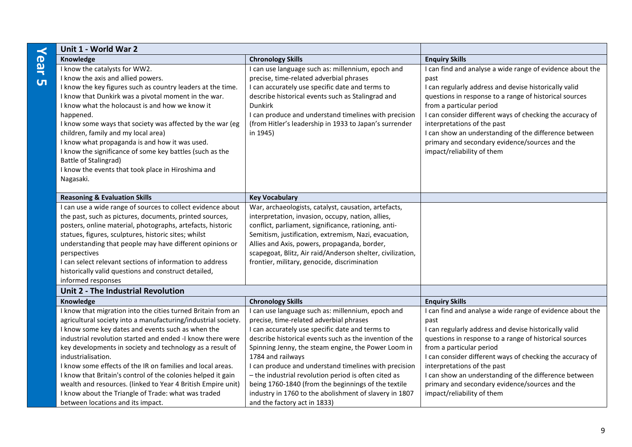| Unit 1 - World War 2                                                                                             |                                                                                                                 |                                                                                          |
|------------------------------------------------------------------------------------------------------------------|-----------------------------------------------------------------------------------------------------------------|------------------------------------------------------------------------------------------|
| Knowledge                                                                                                        | <b>Chronology Skills</b>                                                                                        | <b>Enquiry Skills</b>                                                                    |
| I know the catalysts for WW2.                                                                                    | I can use language such as: millennium, epoch and                                                               | I can find and analyse a wide range of evidence about the                                |
| I know the axis and allied powers.                                                                               | precise, time-related adverbial phrases                                                                         | past                                                                                     |
| I know the key figures such as country leaders at the time.                                                      | I can accurately use specific date and terms to                                                                 | I can regularly address and devise historically valid                                    |
| I know that Dunkirk was a pivotal moment in the war.                                                             | describe historical events such as Stalingrad and                                                               | questions in response to a range of historical sources                                   |
| I know what the holocaust is and how we know it                                                                  | <b>Dunkirk</b>                                                                                                  | from a particular period                                                                 |
| happened.<br>I know some ways that society was affected by the war (eg                                           | I can produce and understand timelines with precision<br>(from Hitler's leadership in 1933 to Japan's surrender | I can consider different ways of checking the accuracy of<br>interpretations of the past |
| children, family and my local area)                                                                              | in 1945)                                                                                                        | I can show an understanding of the difference between                                    |
| I know what propaganda is and how it was used.                                                                   |                                                                                                                 | primary and secondary evidence/sources and the                                           |
| I know the significance of some key battles (such as the                                                         |                                                                                                                 | impact/reliability of them                                                               |
| Battle of Stalingrad)                                                                                            |                                                                                                                 |                                                                                          |
| I know the events that took place in Hiroshima and                                                               |                                                                                                                 |                                                                                          |
| Nagasaki.                                                                                                        |                                                                                                                 |                                                                                          |
|                                                                                                                  |                                                                                                                 |                                                                                          |
| <b>Reasoning &amp; Evaluation Skills</b>                                                                         | <b>Key Vocabulary</b>                                                                                           |                                                                                          |
| I can use a wide range of sources to collect evidence about                                                      | War, archaeologists, catalyst, causation, artefacts,                                                            |                                                                                          |
| the past, such as pictures, documents, printed sources,                                                          | interpretation, invasion, occupy, nation, allies,                                                               |                                                                                          |
| posters, online material, photographs, artefacts, historic                                                       | conflict, parliament, significance, rationing, anti-                                                            |                                                                                          |
| statues, figures, sculptures, historic sites; whilst                                                             | Semitism, justification, extremism, Nazi, evacuation,                                                           |                                                                                          |
| understanding that people may have different opinions or                                                         | Allies and Axis, powers, propaganda, border,                                                                    |                                                                                          |
| perspectives                                                                                                     | scapegoat, Blitz, Air raid/Anderson shelter, civilization,                                                      |                                                                                          |
| I can select relevant sections of information to address<br>historically valid questions and construct detailed, | frontier, military, genocide, discrimination                                                                    |                                                                                          |
| informed responses                                                                                               |                                                                                                                 |                                                                                          |
| Unit 2 - The Industrial Revolution                                                                               |                                                                                                                 |                                                                                          |
| Knowledge                                                                                                        | <b>Chronology Skills</b>                                                                                        | <b>Enquiry Skills</b>                                                                    |
| I know that migration into the cities turned Britain from an                                                     | I can use language such as: millennium, epoch and                                                               | I can find and analyse a wide range of evidence about the                                |
| agricultural society into a manufacturing/industrial society.                                                    | precise, time-related adverbial phrases                                                                         | past                                                                                     |
| I know some key dates and events such as when the                                                                | I can accurately use specific date and terms to                                                                 | I can regularly address and devise historically valid                                    |
| industrial revolution started and ended -I know there were                                                       | describe historical events such as the invention of the                                                         | questions in response to a range of historical sources                                   |
| key developments in society and technology as a result of                                                        | Spinning Jenny, the steam engine, the Power Loom in                                                             | from a particular period                                                                 |
| industrialisation.                                                                                               | 1784 and railways                                                                                               | I can consider different ways of checking the accuracy of                                |
| I know some effects of the IR on families and local areas.                                                       | I can produce and understand timelines with precision                                                           | interpretations of the past                                                              |
| I know that Britain's control of the colonies helped it gain                                                     | - the industrial revolution period is often cited as                                                            | I can show an understanding of the difference between                                    |
| wealth and resources. (linked to Year 4 British Empire unit)                                                     | being 1760-1840 (from the beginnings of the textile                                                             | primary and secondary evidence/sources and the                                           |
| I know about the Triangle of Trade: what was traded                                                              | industry in 1760 to the abolishment of slavery in 1807                                                          | impact/reliability of them                                                               |
| between locations and its impact.                                                                                | and the factory act in 1833)                                                                                    |                                                                                          |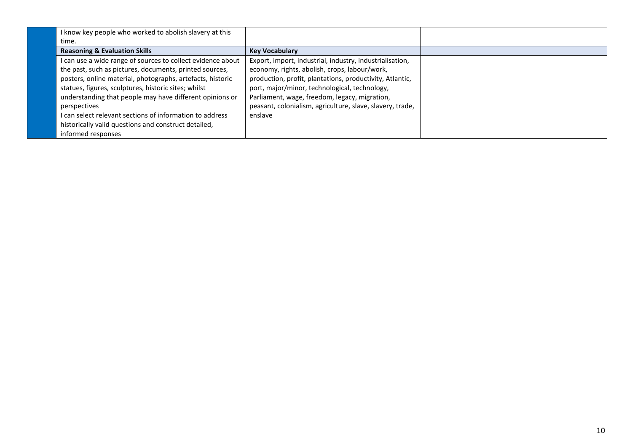| I know key people who worked to abolish slavery at this     |                                                           |  |
|-------------------------------------------------------------|-----------------------------------------------------------|--|
| time.                                                       |                                                           |  |
| <b>Reasoning &amp; Evaluation Skills</b>                    | <b>Key Vocabulary</b>                                     |  |
| I can use a wide range of sources to collect evidence about | Export, import, industrial, industry, industrialisation,  |  |
| the past, such as pictures, documents, printed sources,     | economy, rights, abolish, crops, labour/work,             |  |
| posters, online material, photographs, artefacts, historic  | production, profit, plantations, productivity, Atlantic,  |  |
| statues, figures, sculptures, historic sites; whilst        | port, major/minor, technological, technology,             |  |
| understanding that people may have different opinions or    | Parliament, wage, freedom, legacy, migration,             |  |
| perspectives                                                | peasant, colonialism, agriculture, slave, slavery, trade, |  |
| I can select relevant sections of information to address    | enslave                                                   |  |
| historically valid questions and construct detailed,        |                                                           |  |
| informed responses                                          |                                                           |  |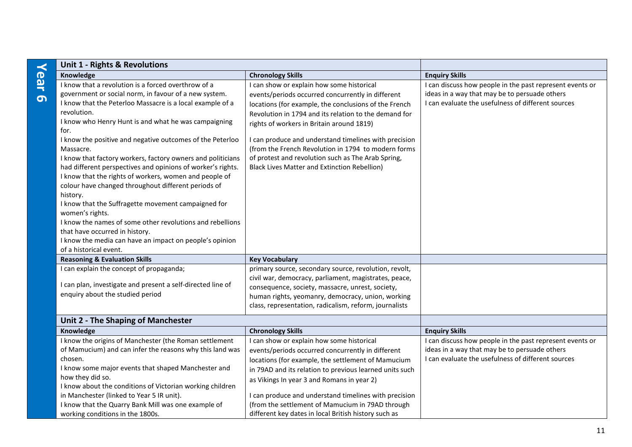| Unit 1 - Rights & Revolutions                                   |                                                         |                                                          |
|-----------------------------------------------------------------|---------------------------------------------------------|----------------------------------------------------------|
| Knowledge                                                       | <b>Chronology Skills</b>                                | <b>Enquiry Skills</b>                                    |
| I know that a revolution is a forced overthrow of a             | I can show or explain how some historical               | I can discuss how people in the past represent events or |
| government or social norm, in favour of a new system.           | events/periods occurred concurrently in different       | ideas in a way that may be to persuade others            |
| I know that the Peterloo Massacre is a local example of a       | locations (for example, the conclusions of the French   | I can evaluate the usefulness of different sources       |
| revolution.                                                     | Revolution in 1794 and its relation to the demand for   |                                                          |
| I know who Henry Hunt is and what he was campaigning            | rights of workers in Britain around 1819)               |                                                          |
| for.                                                            |                                                         |                                                          |
| I know the positive and negative outcomes of the Peterloo       | I can produce and understand timelines with precision   |                                                          |
| Massacre.                                                       | (from the French Revolution in 1794 to modern forms     |                                                          |
| I know that factory workers, factory owners and politicians     | of protest and revolution such as The Arab Spring,      |                                                          |
| had different perspectives and opinions of worker's rights.     | <b>Black Lives Matter and Extinction Rebellion)</b>     |                                                          |
| I know that the rights of workers, women and people of          |                                                         |                                                          |
| colour have changed throughout different periods of             |                                                         |                                                          |
| history.<br>I know that the Suffragette movement campaigned for |                                                         |                                                          |
| women's rights.                                                 |                                                         |                                                          |
| I know the names of some other revolutions and rebellions       |                                                         |                                                          |
| that have occurred in history.                                  |                                                         |                                                          |
| I know the media can have an impact on people's opinion         |                                                         |                                                          |
| of a historical event.                                          |                                                         |                                                          |
| <b>Reasoning &amp; Evaluation Skills</b>                        | <b>Key Vocabulary</b>                                   |                                                          |
| I can explain the concept of propaganda;                        | primary source, secondary source, revolution, revolt,   |                                                          |
|                                                                 | civil war, democracy, parliament, magistrates, peace,   |                                                          |
| I can plan, investigate and present a self-directed line of     | consequence, society, massacre, unrest, society,        |                                                          |
| enquiry about the studied period                                | human rights, yeomanry, democracy, union, working       |                                                          |
|                                                                 | class, representation, radicalism, reform, journalists  |                                                          |
| Unit 2 - The Shaping of Manchester                              |                                                         |                                                          |
| Knowledge                                                       | <b>Chronology Skills</b>                                | <b>Enquiry Skills</b>                                    |
| I know the origins of Manchester (the Roman settlement          | I can show or explain how some historical               | I can discuss how people in the past represent events or |
| of Mamucium) and can infer the reasons why this land was        | events/periods occurred concurrently in different       | ideas in a way that may be to persuade others            |
| chosen.                                                         | locations (for example, the settlement of Mamucium      | I can evaluate the usefulness of different sources       |
| I know some major events that shaped Manchester and             | in 79AD and its relation to previous learned units such |                                                          |
| how they did so.                                                | as Vikings In year 3 and Romans in year 2)              |                                                          |
| I know about the conditions of Victorian working children       |                                                         |                                                          |
| in Manchester (linked to Year 5 IR unit).                       | I can produce and understand timelines with precision   |                                                          |
| I know that the Quarry Bank Mill was one example of             | (from the settlement of Mamucium in 79AD through        |                                                          |
| working conditions in the 1800s.                                | different key dates in local British history such as    |                                                          |

# **Year 6**